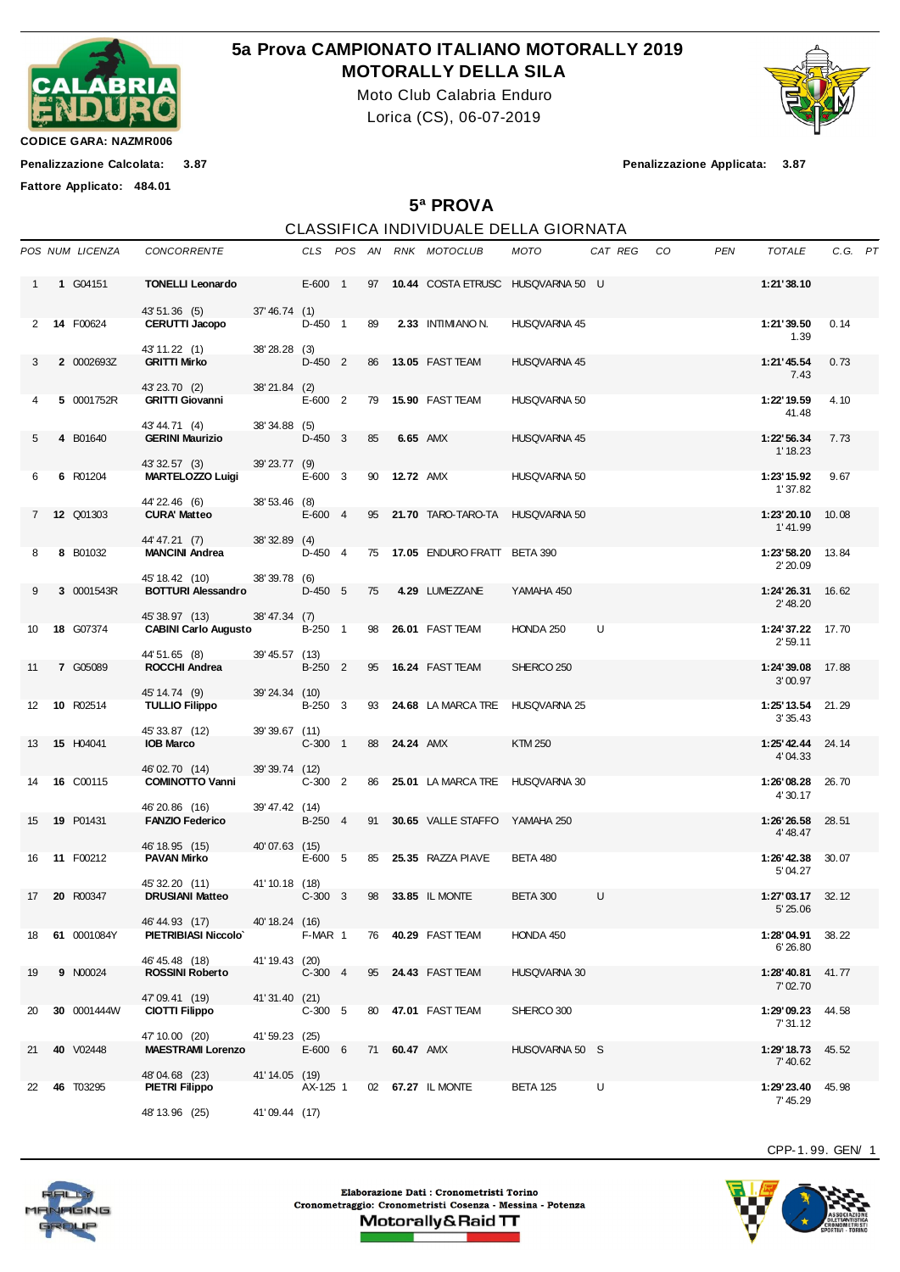

## **5a Prova CAMPIONATO ITALIANO MOTORALLY 2019 MOTORALLY DELLA SILA**

Moto Club Calabria Enduro Lorica (CS), 06-07-2019



**CODICE GARA: NAZMR006**

**Penalizzazione Calcolata: 3.87 Penalizzazione Applicata: 3.87 Fattore Applicato: 484.01**

**5ª PROVA**

## CLASSIFICA INDIVIDUALE DELLA GIORNATA

|              | POS NUM LICENZA  | <b>CONCORRENTE</b>                          |                |           |    |                     | CLS POS AN RNK MOTOCLUB              | MOTO            | CAT REG | CO | <b>PEN</b> | <b>TOTALE</b>                | C.G. PT |  |
|--------------|------------------|---------------------------------------------|----------------|-----------|----|---------------------|--------------------------------------|-----------------|---------|----|------------|------------------------------|---------|--|
| $\mathbf{1}$ | 1 G04151         | <b>TONELLI Leonardo</b>                     |                | E-600 1   |    |                     | 97 10.44 COSTA ETRUSC HUSQVARNA 50 U |                 |         |    |            | 1:21'38.10                   |         |  |
| 2            | 14 F00624        | 43' 51.36 (5)<br><b>CERUTTI Jacopo</b>      | 37'46.74 (1)   | D-450 1   | 89 |                     | 2.33 INTIMIANO N.                    | HUSQVARNA 45    |         |    |            | 1:21'39.50                   | 0.14    |  |
|              |                  | 43' 11.22 (1)                               | 38'28.28 (3)   |           |    |                     |                                      |                 |         |    |            | 1.39                         |         |  |
| 3            | 2 0002693Z       | <b>GRITTI Mirko</b>                         |                | $D-450$ 2 |    |                     | 86 13.05 FAST TEAM                   | HUSQVARNA 45    |         |    |            | 1:21'45.54                   | 0.73    |  |
|              |                  | 43' 23.70 (2)                               | 38'21.84 (2)   |           |    |                     |                                      |                 |         |    |            | 7.43                         |         |  |
| 4            | 5 0001752R       | <b>GRITTI Giovanni</b>                      |                | $E-600$ 2 |    |                     | 79 15.90 FAST TEAM                   | HUSQVARNA 50    |         |    |            | 1:22' 19.59                  | 4.10    |  |
|              |                  | 43'44.71 (4)                                | 38'34.88 (5)   |           |    |                     |                                      |                 |         |    |            | 41.48                        |         |  |
| 5            | 4 B01640         | <b>GERINI Maurizio</b>                      |                | $D-450$ 3 | 85 |                     | 6.65 AMX                             | HUSQVARNA 45    |         |    |            | 1:22' 56.34                  | 7.73    |  |
|              |                  |                                             |                |           |    |                     |                                      |                 |         |    |            | 1' 18.23                     |         |  |
| 6            | 6 R01204         | 43' 32.57 (3)<br><b>MARTELOZZO Luigi</b>    | 39'23.77 (9)   | $E-600$ 3 |    | 90 <b>12.72</b> AMX |                                      | HUSQVARNA 50    |         |    |            | 1:23' 15.92                  | 9.67    |  |
|              |                  |                                             |                |           |    |                     |                                      |                 |         |    |            | 1'37.82                      |         |  |
|              |                  | 44'22.46 (6)                                | 38'53.46 (8)   |           |    |                     |                                      |                 |         |    |            |                              |         |  |
| $7^{\circ}$  | 12 Q01303        | <b>CURA' Matteo</b>                         |                | E-600 4   |    |                     | 95 21.70 TARO-TARO-TA HUSQVARNA 50   |                 |         |    |            | 1:23'20.10<br>1'41.99        | 10.08   |  |
|              |                  | 44' 47.21 (7)                               | 38'32.89 (4)   |           |    |                     |                                      |                 |         |    |            |                              |         |  |
| 8            | 8 B01032         | <b>MANCINI Andrea</b>                       |                | D-450 4   |    |                     | 75 17.05 ENDURO FRATT BETA 390       |                 |         |    |            | 1:23' 58.20 13.84<br>2'20.09 |         |  |
| 9            | 3 0001543R       | 45' 18.42 (10)<br><b>BOTTURI Alessandro</b> | 38'39.78 (6)   | D-450 5   | 75 |                     | 4.29 LUMEZZANE                       | YAMAHA 450      |         |    |            | 1:24'26.31                   | 16.62   |  |
|              |                  |                                             |                |           |    |                     |                                      |                 |         |    |            | 2' 48.20                     |         |  |
|              |                  | 45' 38.97 (13)                              | 38'47.34 (7)   |           |    |                     |                                      |                 |         |    |            |                              |         |  |
| 10           | <b>18 G07374</b> | <b>CABINI Carlo Augusto</b>                 |                | B-250 1   |    |                     | 98 26.01 FAST TEAM                   | HONDA 250       | U       |    |            | 1:24'37.22 17.70<br>2'59.11  |         |  |
|              |                  | 44'51.65 (8)                                | 39' 45.57 (13) |           |    |                     |                                      |                 |         |    |            |                              |         |  |
| 11           | 7 G05089         | ROCCHI Andrea                               |                | B-250 2   | 95 |                     | <b>16.24 FAST TEAM</b>               | SHERCO 250      |         |    |            | 1:24'39.08                   | 17.88   |  |
|              |                  |                                             |                |           |    |                     |                                      |                 |         |    |            | 3'00.97                      |         |  |
| 12           | 10 R02514        | 45' 14.74 (9)<br><b>TULLIO Filippo</b>      | 39'24.34 (10)  | B-250 3   |    |                     | 93 24.68 LA MARCA TRE HUSQVARNA 25   |                 |         |    |            | 1:25' 13.54                  | 21.29   |  |
|              |                  |                                             |                |           |    |                     |                                      |                 |         |    |            | 3'35.43                      |         |  |
|              |                  | 45' 33.87 (12)                              | 39'39.67 (11)  |           |    |                     |                                      |                 |         |    |            |                              |         |  |
| 13           | 15 H04041        | <b>IOB Marco</b>                            |                | $C-300$ 1 |    | 88 <b>24.24 AMX</b> |                                      | <b>KTM 250</b>  |         |    |            | 1:25' 42.44<br>4'04.33       | 24.14   |  |
|              |                  | 46'02.70 (14)                               | 39'39.74 (12)  |           |    |                     |                                      |                 |         |    |            |                              |         |  |
| 14           | 16 C00115        | <b>COMINOTTO Vanni</b>                      |                | $C-300$ 2 |    |                     | 86 25.01 LA MARCA TRE HUSQVARNA 30   |                 |         |    |            | 1:26'08.28                   | 26.70   |  |
|              |                  |                                             |                |           |    |                     |                                      |                 |         |    |            | 4'30.17                      |         |  |
| 15           | <b>19 P01431</b> | 46'20.86 (16)<br><b>FANZIO Federico</b>     | 39'47.42 (14)  | B-250 4   |    |                     | 91 30.65 VALLE STAFFO YAMAHA 250     |                 |         |    |            | 1:26'26.58                   | 28.51   |  |
|              |                  |                                             |                |           |    |                     |                                      |                 |         |    |            | 4' 48.47                     |         |  |
|              |                  | 46' 18.95 (15)                              | 40'07.63 (15)  |           |    |                     |                                      |                 |         |    |            |                              |         |  |
| 16           | 11 F00212        | <b>PAVAN Mirko</b>                          |                | E-600 5   |    |                     | 85 25.35 RAZZA PIAVE                 | <b>BETA 480</b> |         |    |            | 1:26'42.38<br>5'04.27        | 30.07   |  |
|              |                  | 45' 32.20 (11)                              | 41'10.18 (18)  |           |    |                     |                                      |                 |         |    |            |                              |         |  |
| 17           | 20 R00347        | <b>DRUSIANI Matteo</b>                      |                | $C-300$ 3 |    |                     | 98 33.85 IL MONTE                    | <b>BETA 300</b> | U       |    |            | 1:27'03.17 32.12             |         |  |
|              |                  | 46' 44.93 (17) 40' 18.24 (16)               |                |           |    |                     |                                      |                 |         |    |            | 5' 25.06                     |         |  |
| 18           | 61 0001084Y      | PIETRIBIASI Niccolo'                        |                | F-MAR 1   |    |                     | 76 40.29 FAST TEAM                   | HONDA 450       |         |    |            | 1:28'04.91                   | 38.22   |  |
|              |                  |                                             |                |           |    |                     |                                      |                 |         |    |            | 6'26.80                      |         |  |
|              |                  | 46' 45.48 (18)                              | 41'19.43 (20)  |           |    |                     |                                      |                 |         |    |            |                              |         |  |
| 19           | 9 N00024         | ROSSINI Roberto                             |                | $C-300$ 4 |    |                     | 95 24.43 FAST TEAM                   | HUSQVARNA 30    |         |    |            | 1:28' 40.81<br>7'02.70       | 41.77   |  |
|              |                  | 47'09.41 (19)                               | 41'31.40 (21)  |           |    |                     |                                      |                 |         |    |            |                              |         |  |
| 20           | 30 0001444W      | <b>CIOTTI Filippo</b>                       |                | $C-300$ 5 |    |                     | 80 47.01 FAST TEAM                   | SHERCO 300      |         |    |            | 1:29'09.23                   | 44.58   |  |
|              |                  | 47' 10.00 (20)                              | 41'59.23 (25)  |           |    |                     |                                      |                 |         |    |            | 7' 31.12                     |         |  |
| 21           | 40 V02448        | <b>MAESTRAMI Lorenzo</b>                    |                | $E-600$ 6 |    | 71 60.47 AMX        |                                      | HUSQVARNA 50 S  |         |    |            | 1:29' 18.73 45.52            |         |  |
|              |                  |                                             |                |           |    |                     |                                      |                 |         |    |            | 7' 40.62                     |         |  |
|              |                  | 48'04.68 (23)                               | 41' 14.05 (19) |           |    |                     |                                      |                 |         |    |            |                              |         |  |
| 22           | 46 T03295        | <b>PIETRI Filippo</b>                       |                | AX-125 1  |    |                     | 02 67.27 IL MONTE                    | BETA 125        | U       |    |            | 1:29'23.40 45.98<br>7' 45.29 |         |  |
|              |                  | 48' 13.96 (25)                              | 41'09.44 (17)  |           |    |                     |                                      |                 |         |    |            |                              |         |  |

CPP-1. 99. GEN/ 1





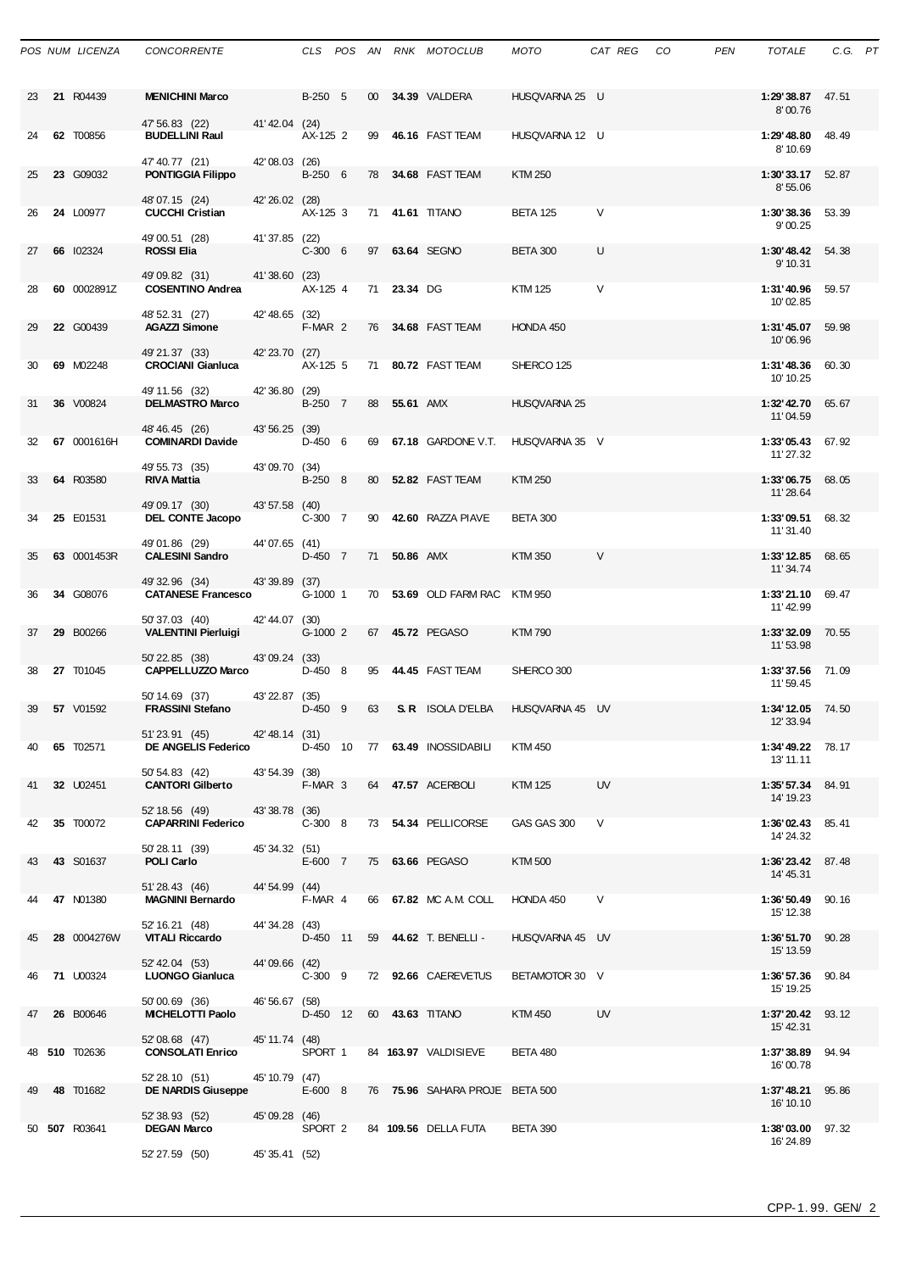|    | POS NUM LICENZA  | <b>CONCORRENTE</b>                           |                |           |    |              | CLS POS AN RNK MOTOCLUB        | мото                | CAT REG | CO | PEN | TOTALE                         | C.G. PT |  |
|----|------------------|----------------------------------------------|----------------|-----------|----|--------------|--------------------------------|---------------------|---------|----|-----|--------------------------------|---------|--|
| 23 | 21 R04439        | <b>MENICHINI Marco</b>                       |                | B-250 5   |    |              | 00 34.39 VALDERA               | HUSQVARNA 25 U      |         |    |     | 1:29'38.87<br>8'00.76          | 47.51   |  |
| 24 | 62 T00856        | 47' 56.83 (22)<br><b>BUDELLINI Raul</b>      | 41'42.04 (24)  | AX-125 2  |    |              | 99 46.16 FAST TEAM             | HUSQVARNA 12 U      |         |    |     | 1:29'48.80<br>8' 10.69         | 48.49   |  |
| 25 | 23 G09032        | 47' 40.77 (21)<br><b>PONTIGGIA Filippo</b>   | 42'08.03 (26)  | B-250 6   |    |              | 78 34.68 FAST TEAM             | <b>KTM 250</b>      |         |    |     | 1:30'33.17<br>8'55.06          | 52.87   |  |
| 26 | 24 L00977        | 48'07.15 (24)<br><b>CUCCHI Cristian</b>      | 42' 26.02 (28) | AX-125 3  |    |              | 71 41.61 TITANO                | <b>BETA 125</b>     | V       |    |     | 1:30'38.36<br>9'00.25          | 53.39   |  |
| 27 | 66 102324        | 49'00.51 (28)<br><b>ROSSI Elia</b>           | 41'37.85 (22)  | $C-300$ 6 |    |              | 97 63.64 SEGNO                 | <b>BETA 300</b>     | U       |    |     | 1:30'48.42<br>9' 10.31         | 54.38   |  |
| 28 | 60 0002891Z      | 49'09.82 (31)<br><b>COSENTINO Andrea</b>     | 41'38.60 (23)  | AX-125 4  |    | 71 23.34 DG  |                                | <b>KTM 125</b>      | V       |    |     | 1:31'40.96<br>10'02.85         | 59.57   |  |
| 29 | 22 G00439        | 48' 52.31 (27)<br><b>AGAZZI Simone</b>       | 42'48.65 (32)  | F-MAR 2   |    |              | 76 34.68 FAST TEAM             | HONDA 450           |         |    |     | 1:31'45.07                     | 59.98   |  |
| 30 | 69 M02248        | 49' 21.37 (33)<br><b>CROCIANI Gianluca</b>   | 42' 23.70 (27) | AX-125 5  |    |              | 71 80.72 FAST TEAM             | SHERCO 125          |         |    |     | 10'06.96<br>1:31'48.36         | 60.30   |  |
| 31 | 36 V00824        | 49' 11.56 (32)<br><b>DELMASTRO Marco</b>     | 42'36.80 (29)  | B-250 7   |    | 88 55.61 AMX |                                | <b>HUSQVARNA 25</b> |         |    |     | 10' 10.25<br>1:32' 42.70       | 65.67   |  |
| 32 | 67 0001616H      | 48'46.45 (26)<br><b>COMINARDI Davide</b>     | 43' 56.25 (39) | $D-450$ 6 | 69 |              | 67.18 GARDONE V.T.             | HUSQVARNA 35 V      |         |    |     | 11'04.59<br>1:33'05.43         | 67.92   |  |
| 33 | 64 R03580        | 49' 55.73 (35)<br><b>RIVA Mattia</b>         | 43'09.70 (34)  | B-250 8   |    |              | 80 52.82 FAST TEAM             | <b>KTM 250</b>      |         |    |     | 11'27.32<br>1:33'06.75         | 68.05   |  |
|    |                  | 49'09.17 (30)                                | 43' 57.58 (40) |           |    |              |                                |                     |         |    |     | 11'28.64                       |         |  |
| 34 | 25 E01531        | DEL CONTE Jacopo<br>49'01.86 (29)            | 44'07.65 (41)  | $C-300$ 7 |    |              | 90 42.60 RAZZA PIAVE           | BETA 300            |         |    |     | 1:33'09.51<br>11'31.40         | 68.32   |  |
| 35 | 63 0001453R      | <b>CALESINI Sandro</b><br>49' 32.96 (34)     | 43'39.89 (37)  | D-450 7   |    | 71 50.86 AMX |                                | <b>KTM 350</b>      | V       |    |     | 1:33'12.85<br>11'34.74         | 68.65   |  |
| 36 | 34 G08076        | <b>CATANESE Francesco</b><br>50'37.03 (40)   | 42' 44.07 (30) | G-1000 1  |    |              | 70 53.69 OLD FARM RAC          | KTM 950             |         |    |     | 1:33'21.10<br>11' 42.99        | 69.47   |  |
| 37 | 29 B00266        | <b>VALENTINI Pierluigi</b><br>50' 22.85 (38) | 43' 09.24 (33) | G-1000 2  |    |              | 67 45.72 PEGASO                | <b>KTM790</b>       |         |    |     | 1:33'32.09<br>11'53.98         | 70.55   |  |
| 38 | 27 T01045        | <b>CAPPELLUZZO Marco</b>                     |                | $D-450$ 8 |    |              | 95 44.45 FAST TEAM             | SHERCO 300          |         |    |     | 1:33'37.56<br>11'59.45         | 71.09   |  |
| 39 | 57 V01592        | 50' 14.69 (37)<br><b>FRASSINI Stefano</b>    | 43' 22.87 (35) | $D-450$ 9 | 63 |              | <b>S. R</b> ISOLA D'ELBA       | HUSQVARNA 45 UV     |         |    |     | 1:34'12.05 74.50<br>12' 33.94  |         |  |
| 40 | 65 T02571        | 51'23.91 (45)<br><b>DE ANGELIS Federico</b>  | 42'48.14 (31)  |           |    |              | D-450 10 77 63.49 INOSSIDABILI | KTM 450             |         |    |     | 1:34'49.22 78.17<br>13' 11.11  |         |  |
| 41 | 32 U02451        | 50' 54.83 (42)<br><b>CANTORI Gilberto</b>    | 43' 54.39 (38) | F-MAR 3   |    |              | 64 47.57 ACERBOLI              | KTM 125             | UV      |    |     | 1:35' 57.34 84.91<br>14' 19.23 |         |  |
| 42 | 35 T00072        | 52' 18.56 (49)<br><b>CAPARRINI Federico</b>  | 43' 38.78 (36) | $C-300$ 8 |    |              | 73 54.34 PELLICORSE            | GAS GAS 300         | $\vee$  |    |     | 1:36'02.43<br>14' 24.32        | 85.41   |  |
| 43 | 43 S01637        | 50'28.11 (39)<br><b>POLI Carlo</b>           | 45' 34.32 (51) | E-600 7   |    |              | 75 63.66 PEGASO                | <b>KTM 500</b>      |         |    |     | 1:36'23.42 87.48<br>14' 45.31  |         |  |
| 44 | 47 N01380        | 51'28.43 (46)<br><b>MAGNINI Bernardo</b>     | 44' 54.99 (44) | F-MAR 4   |    |              | 66 67.82 MC A.M. COLL          | HONDA 450           | V       |    |     | 1:36'50.49<br>15' 12.38        | 90.16   |  |
| 45 | 28 0004276W      | 52' 16.21 (48)<br><b>VITALI Riccardo</b>     | 44' 34.28 (43) | D-450 11  |    |              | 59 44.62 T. BENELLI -          | HUSQVARNA 45 UV     |         |    |     | 1:36'51.70                     | 90.28   |  |
| 46 | <b>71 U00324</b> | 52' 42.04 (53)<br><b>LUONGO Gianluca</b>     | 44'09.66 (42)  | $C-300$ 9 |    |              | 72 92.66 CAEREVETUS            | BETAMOTOR 30 V      |         |    |     | 15' 13.59<br>1:36'57.36        | 90.84   |  |
| 47 | 26 B00646        | 50'00.69 (36)<br><b>MICHELOTTI Paolo</b>     | 46' 56.67 (58) | D-450 12  |    |              | 60 43.63 TITANO                | KTM 450             | UV      |    |     | 15' 19.25<br>1:37'20.42        | 93.12   |  |
|    | 48 510 T02636    | 52'08.68 (47)<br><b>CONSOLATI Enrico</b>     | 45' 11.74 (48) | SPORT 1   |    |              | 84 163.97 VALDISIEVE           | BETA 480            |         |    |     | 15' 42.31<br>1:37'38.89        | 94.94   |  |
| 49 | 48 T01682        | 52' 28.10 (51)<br><b>DE NARDIS Giuseppe</b>  | 45' 10.79 (47) | $E-600$ 8 |    |              | 76 75.96 SAHARA PROJE BETA 500 |                     |         |    |     | 16'00.78<br>1:37'48.21         | 95.86   |  |
|    | 50 507 R03641    | 52' 38.93 (52)<br><b>DEGAN Marco</b>         | 45'09.28 (46)  | SPORT 2   |    |              | 84 109.56 DELLA FUTA           | BETA 390            |         |    |     | 16' 10.10<br>1:38'03.00        | 97.32   |  |
|    |                  | 52' 27.59 (50)                               | 45' 35.41 (52) |           |    |              |                                |                     |         |    |     | 16'24.89                       |         |  |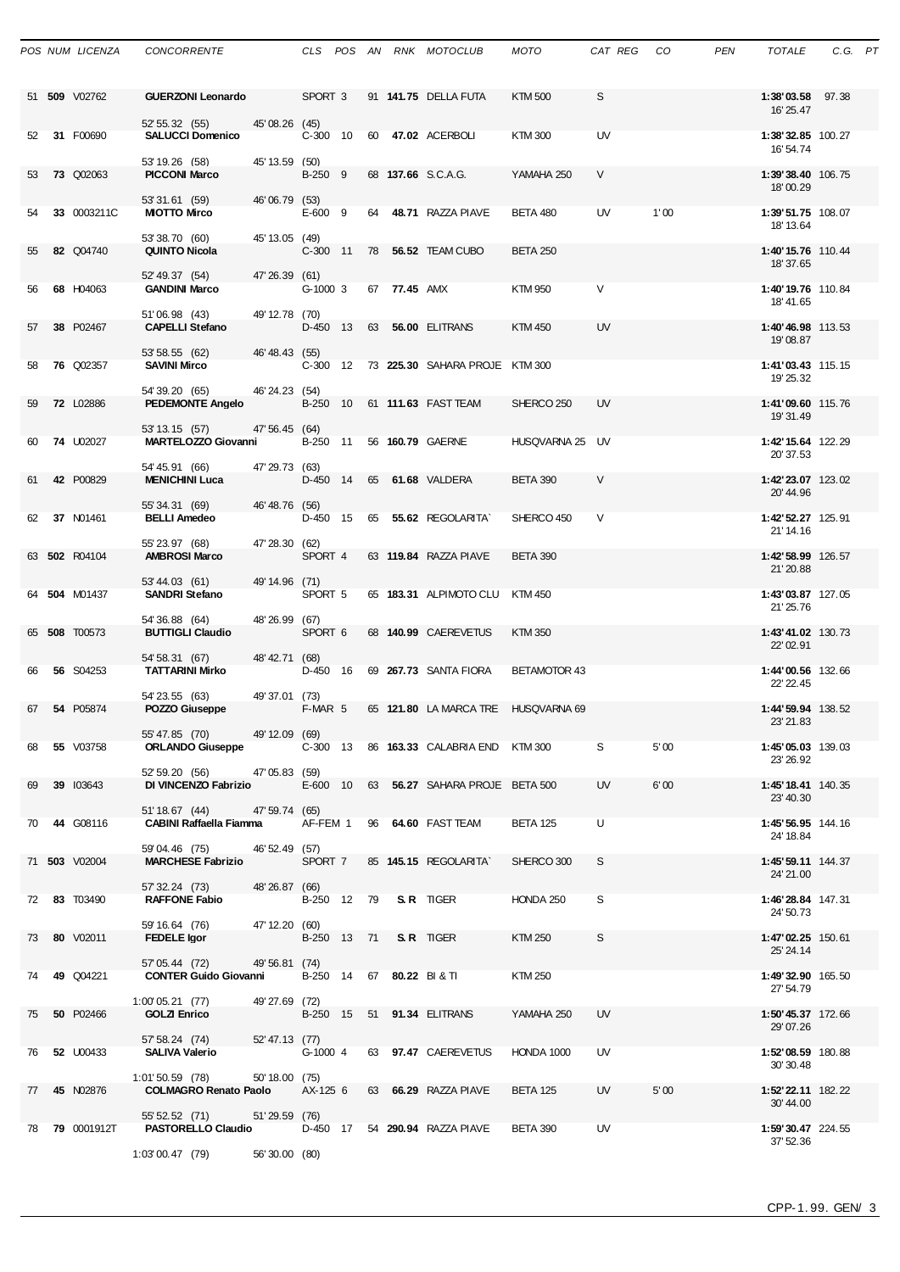|    | POS NUM LICENZA  | <b>CONCORRENTE</b>                               |                |             |  |                | CLS POS AN RNK MOTOCLUB                 | MOTO                | CAT REG   | CO.  | <b>PEN</b> | <b>TOTALE</b>                   | C.G. PT |  |
|----|------------------|--------------------------------------------------|----------------|-------------|--|----------------|-----------------------------------------|---------------------|-----------|------|------------|---------------------------------|---------|--|
|    | 51 509 V02762    | <b>GUERZONI Leonardo</b><br>52' 55.32 (55)       | 45' 08.26 (45) | SPORT 3     |  |                | 91 141.75 DELLA FUTA                    | <b>KTM 500</b>      | S         |      |            | 1:38'03.58<br>16' 25.47         | 97.38   |  |
| 52 | 31 F00690        | <b>SALUCCI Domenico</b><br>53' 19.26 (58)        | 45' 13.59 (50) | C-300 10    |  |                | 60 47.02 ACERBOLI                       | KTM 300             | UV        |      |            | 1:38'32.85 100.27<br>16' 54.74  |         |  |
| 53 | <b>73 Q02063</b> | <b>PICCONI Marco</b><br>53' 31.61 (59)           | 46'06.79 (53)  | B-250 9     |  |                | 68 137.66 S.C.A.G.                      | YAMAHA 250          | V         |      |            | 1:39'38.40 106.75<br>18'00.29   |         |  |
| 54 | 33 0003211C      | <b>MIOTTO Mirco</b><br>53'38.70 (60)             | 45' 13.05 (49) | $E-600$ 9   |  |                | 64 48.71 RAZZA PIAVE                    | <b>BETA 480</b>     | UV        | 1'00 |            | 1:39' 51.75 108.07<br>18' 13.64 |         |  |
| 55 | 82 Q04740        | <b>QUINTO Nicola</b>                             |                | $C-300$ 11  |  |                | 78 56.52 TEAM CUBO                      | <b>BETA 250</b>     |           |      |            | 1:40'15.76 110.44<br>18'37.65   |         |  |
| 56 | 68 H04063        | 52' 49.37 (54)<br><b>GANDINI Marco</b>           | 47' 26.39 (61) | G-1000 3    |  | 67 77.45 AMX   |                                         | KTM 950             | V         |      |            | 1:40'19.76 110.84<br>18' 41.65  |         |  |
| 57 | 38 P02467        | 51'06.98 (43)<br><b>CAPELLI Stefano</b>          | 49' 12.78 (70) | D-450 13    |  |                | 63 56.00 ELITRANS                       | <b>KTM 450</b>      | UV        |      |            | 1:40'46.98 113.53<br>19'08.87   |         |  |
| 58 | <b>76 Q02357</b> | 53' 58.55 (62)<br><b>SAVINI Mirco</b>            | 46' 48.43 (55) |             |  |                | C-300 12 73 225.30 SAHARA PROJE KTM 300 |                     |           |      |            | 1:41'03.43 115.15<br>19' 25.32  |         |  |
| 59 | <b>72 L02886</b> | 54'39.20 (65)<br>PEDEMONTE Angelo                | 46'24.23 (54)  | B-250 10    |  |                | 61 111.63 FAST TEAM                     | SHERCO 250          | <b>UV</b> |      |            | 1:41'09.60 115.76<br>19'31.49   |         |  |
| 60 | 74 U02027        | 53' 13.15 (57)<br><b>MARTELOZZO Giovanni</b>     | 47' 56.45 (64) | B-250 11    |  |                | 56 160.79 GAERNE                        | HUSQVARNA 25 UV     |           |      |            | 1:42' 15.64 122.29<br>20'37.53  |         |  |
| 61 | 42 P00829        | 54' 45.91 (66)<br><b>MENICHINI Luca</b>          | 47' 29.73 (63) | $D-450$ 14  |  |                | 65 61.68 VALDERA                        | BETA 390            | $\vee$    |      |            | 1:42'23.07 123.02<br>20' 44.96  |         |  |
| 62 | 37 N01461        | 55' 34.31 (69)<br><b>BELLI Amedeo</b>            | 46'48.76 (56)  | D-450 15    |  |                | 65 55.62 REGOLARITA                     | SHERCO 450          | V         |      |            | 1:42' 52.27 125.91<br>21' 14.16 |         |  |
|    | 63 502 R04104    | 55' 23.97 (68)<br><b>AMBROSI Marco</b>           | 47'28.30 (62)  | SPORT 4     |  |                | 63 119.84 RAZZA PIAVE                   | <b>BETA 390</b>     |           |      |            | 1:42' 58.99 126.57<br>21'20.88  |         |  |
|    | 64 504 M01437    | 53'44.03 (61)<br><b>SANDRI Stefano</b>           | 49' 14.96 (71) | SPORT 5     |  |                | 65 183.31 ALPIMOTO CLU                  | <b>KTM 450</b>      |           |      |            | 1:43'03.87 127.05<br>21'25.76   |         |  |
|    | 65 508 T00573    | 54'36.88 (64)<br><b>BUTTIGLI Claudio</b>         | 48'26.99 (67)  | SPORT 6     |  |                | 68 140.99 CAEREVETUS                    | <b>KTM 350</b>      |           |      |            | 1:43'41.02 130.73<br>22' 02.91  |         |  |
| 66 | <b>56 S04253</b> | 54' 58.31 (67)<br><b>TATTARINI Mirko</b>         | 48' 42.71 (68) | D-450 16    |  |                | 69 267.73 SANTA FIORA                   | <b>BETAMOTOR 43</b> |           |      |            | 1:44'00.56 132.66<br>22' 22.45  |         |  |
| 67 | 54 P05874        | 54' 23.55 (63)<br><b>POZZO Giuseppe</b>          | 49' 37.01 (73) | F-MAR 5     |  |                | 65 121.80 LA MARCA TRE HUSQVARNA 69     |                     |           |      |            | 1:44' 59.94 138.52<br>23' 21.83 |         |  |
| 68 | 55 V03758        | 55' 47.85 (70)<br><b>ORLANDO Giuseppe</b>        | 49' 12.09 (69) |             |  |                | C-300 13 86 163.33 CALABRIA END KTM 300 |                     | S         | 5'00 |            | 1:45'05.03 139.03<br>23' 26.92  |         |  |
| 69 | 39 103643        | 52' 59.20 (56)<br>DI VINCENZO Fabrizio           | 47'05.83 (59)  |             |  |                | E-600 10 63 56.27 SAHARA PROJE BETA 500 |                     | UV        | 6'00 |            | 1:45' 18.41 140.35<br>23' 40.30 |         |  |
| 70 | 44 G08116        | 51' 18.67 (44)<br><b>CABINI Raffaella Fiamma</b> | 47' 59.74 (65) |             |  |                | AF-FEM 1 96 64.60 FAST TEAM             | <b>BETA 125</b>     | U         |      |            | 1:45' 56.95 144.16<br>24' 18.84 |         |  |
|    | 71 503 V02004    | 59'04.46 (75)<br><b>MARCHESE Fabrizio</b>        | 46' 52.49 (57) | SPORT 7     |  |                | 85 145.15 REGOLARITA`                   | SHERCO 300          | S         |      |            | 1:45' 59.11 144.37<br>24' 21.00 |         |  |
| 72 | 83 T03490        | 57' 32.24 (73)<br><b>RAFFONE Fabio</b>           | 48'26.87 (66)  | B-250 12 79 |  |                | S.R. TIGER                              | HONDA 250           | S         |      |            | 1:46'28.84 147.31<br>24' 50.73  |         |  |
| 73 | 80 V02011        | 59'16.64 (76)<br><b>FEDELE lgor</b>              | 47' 12.20 (60) | B-250 13 71 |  |                | S.R. TIGER                              | <b>KTM 250</b>      | S         |      |            | 1:47'02.25 150.61<br>25' 24.14  |         |  |
| 74 | 49 Q04221        | 57' 05.44 (72)<br><b>CONTER Guido Giovanni</b>   | 49' 56.81 (74) | B-250 14    |  | 67 80.22 BI&TI |                                         | KTM 250             |           |      |            | 1:49'32.90 165.50<br>27' 54.79  |         |  |
| 75 | 50 P02466        | 1:00'05.21(77)<br><b>GOLZI Enrico</b>            | 49'27.69 (72)  |             |  |                | B-250 15 51 91.34 ELITRANS              | YAMAHA 250          | UV        |      |            | 1:50'45.37 172.66<br>29'07.26   |         |  |
| 76 | 52 U00433        | 57' 58.24 (74)<br><b>SALIVA Valerio</b>          | 52' 47.13 (77) | G-1000 4    |  |                | 63 97.47 CAEREVETUS                     | HONDA 1000          | UV        |      |            | 1:52'08.59 180.88<br>30' 30.48  |         |  |
| 77 | 45 N02876        | 1:01'50.59 (78)<br><b>COLMAGRO Renato Paolo</b>  | 50' 18.00 (75) | AX-125 6    |  |                | 63 66.29 RAZZA PIAVE                    | <b>BETA 125</b>     | UV        | 5'00 |            | 1:52'22.11 182.22<br>30'44.00   |         |  |
| 78 | 79 0001912T      | 55' 52.52 (71)<br><b>PASTORELLO Claudio</b>      | 51'29.59 (76)  |             |  |                | D-450 17 54 290.94 RAZZA PIAVE          | <b>BETA 390</b>     | UV        |      |            | 1:59'30.47 224.55<br>37' 52.36  |         |  |
|    |                  | $1:03'00.47$ (79)                                | 56'30.00 (80)  |             |  |                |                                         |                     |           |      |            |                                 |         |  |